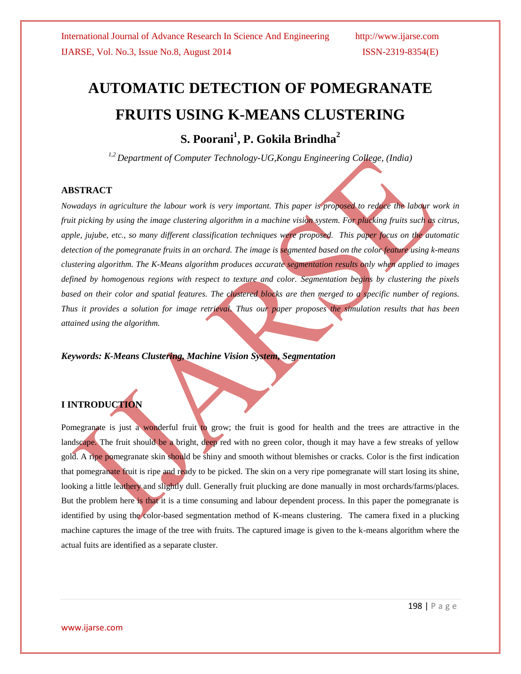# **AUTOMATIC DETECTION OF POMEGRANATE FRUITS USING K-MEANS CLUSTERING**

**S. Poorani<sup>1</sup> , P. Gokila Brindha<sup>2</sup>**

*1,2 Department of Computer Technology-UG,Kongu Engineering College, (India)*

#### **ABSTRACT**

*Nowadays in agriculture the labour work is very important. This paper is proposed to reduce the labour work in fruit picking by using the image clustering algorithm in a machine vision system. For plucking fruits such as citrus, apple, jujube, etc., so many different classification techniques were proposed. This paper focus on the automatic detection of the pomegranate fruits in an orchard. The image is segmented based on the color feature using k-means clustering algorithm. The K-Means algorithm produces accurate segmentation results only when applied to images defined by homogenous regions with respect to texture and color. Segmentation begins by clustering the pixels based on their color and spatial features. The clustered blocks are then merged to a specific number of regions. Thus it provides a solution for image retrieval. Thus our paper proposes the simulation results that has been attained using the algorithm.*

*Keywords: K-Means Clustering, Machine Vision System, Segmentation*

## **I INTRODUCTION**

Pomegranate is just a wonderful fruit to grow; the fruit is good for health and the trees are attractive in the landscape. The fruit should be a bright, deep red with no green color, though it may have a few streaks of yellow gold. A ripe pomegranate skin should be shiny and smooth without blemishes or cracks. Color is the first indication that pomegranate fruit is ripe and ready to be picked. The skin on a very ripe pomegranate will start losing its shine, looking a little leathery and slightly dull. Generally fruit plucking are done manually in most orchards/farms/places. But the problem here is that it is a time consuming and labour dependent process. In this paper the pomegranate is identified by using the color-based segmentation method of K-means clustering. The camera fixed in a plucking machine captures the image of the tree with fruits. The captured image is given to the k-means algorithm where the actual fuits are identified as a separate cluster.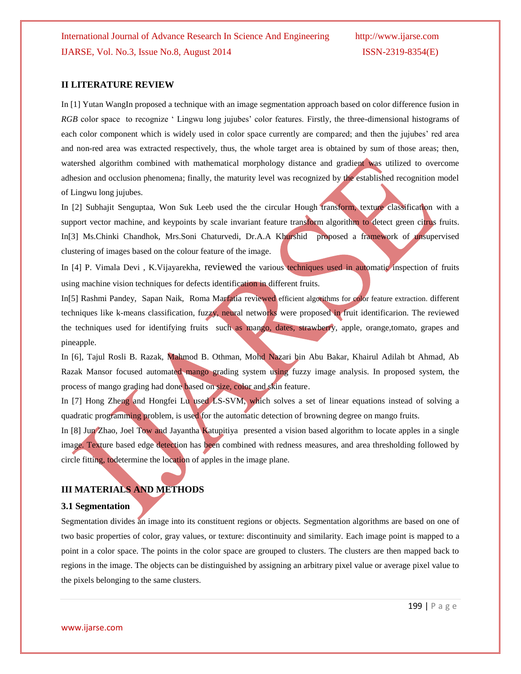#### **II LITERATURE REVIEW**

In [1] Yutan WangIn proposed a technique with an image segmentation approach based on color difference fusion in *RGB* color space to recognize ' Lingwu long jujubes' color features. Firstly, the three-dimensional histograms of each color component which is widely used in color space currently are compared; and then the jujubes' red area and non-red area was extracted respectively, thus, the whole target area is obtained by sum of those areas; then, watershed algorithm combined with mathematical morphology distance and gradient was utilized to overcome adhesion and occlusion phenomena; finally, the maturity level was recognized by the established recognition model of Lingwu long jujubes.

In [2] Subhajit Senguptaa, Won Suk Leeb used the the circular Hough transform, texture classification with a support vector machine, and keypoints by scale invariant feature transform algorithm to detect green citrus fruits. In[3] Ms.Chinki Chandhok, Mrs.Soni Chaturvedi, Dr.A.A Khurshid proposed a framework of unsupervised clustering of images based on the colour feature of the image.

In [4] P. Vimala Devi , K.Vijayarekha, reviewed the various techniques used in automatic inspection of fruits using machine vision techniques for defects identification in different fruits.

In[5] Rashmi Pandey, Sapan Naik, Roma Marfatia reviewed efficient algorithms for color feature extraction. different techniques like k-means classification, fuzzy, neural networks were proposed in fruit identificarion. The reviewed the techniques used for identifying fruits such as mango, dates, strawberry, apple, orange,tomato, grapes and pineapple.

In [6], Tajul Rosli B. Razak, Mahmod B. Othman, Mohd Nazari bin Abu Bakar, Khairul Adilah bt Ahmad, Ab Razak Mansor focused automated mango grading system using fuzzy image analysis. In proposed system, the process of mango grading had done based on size, color and skin feature.

In [7] Hong Zheng and Hongfei Lu used LS-SVM, which solves a set of linear equations instead of solving a quadratic programming problem, is used for the automatic detection of browning degree on mango fruits.

In [8] Jun Zhao, Joel Tow and Jayantha Katupitiya presented a vision based algorithm to locate apples in a single image. Texture based edge detection has been combined with redness measures, and area thresholding followed by circle fitting, todetermine the location of apples in the image plane.

## **III MATERIALS AND METHODS**

#### **3.1 Segmentation**

Segmentation divides an image into its constituent regions or objects. Segmentation algorithms are based on one of two basic properties of color, gray values, or texture: discontinuity and similarity. Each image point is mapped to a point in a color space. The points in the color space are grouped to clusters. The clusters are then mapped back to regions in the image. The objects can be distinguished by assigning an arbitrary pixel value or average pixel value to the pixels belonging to the same clusters.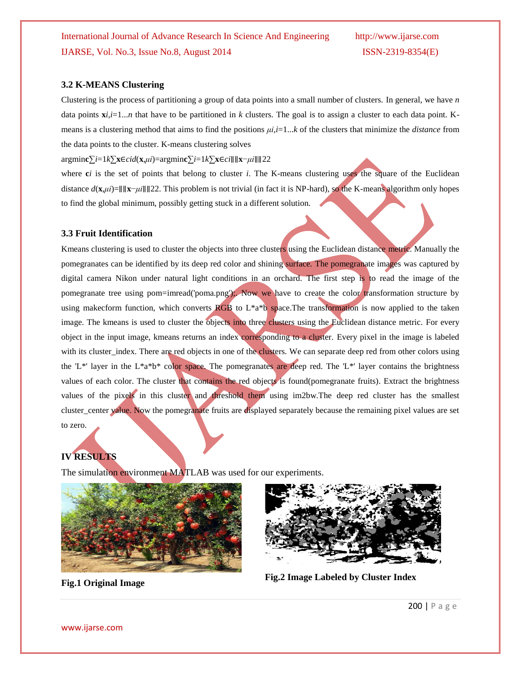#### **3.2 K-MEANS Clustering**

Clustering is the process of partitioning a group of data points into a small number of clusters. In general, we have *n* data points  $\mathbf{x}$ *i*,*i*=1...*n* that have to be partitioned in *k* clusters. The goal is to assign a cluster to each data point. Kmeans is a clustering method that aims to find the positions *μi*,*i*=1...*k* of the clusters that minimize the *distance* from the data points to the cluster. K-means clustering solves

argmin**c**∑*i*=1*k*∑**x**∈*cid*(**x**,*μi*)=argmin**c**∑*i*=1*k*∑**x**∈*ci*∥∥**x**−*μi*∥∥22

where  $ci$  is the set of points that belong to cluster  $i$ . The K-means clustering uses the square of the Euclidean distance *d*(**x**,*μi*)=∥∥**x**−*μi*∥∥22. This problem is not trivial (in fact it is NP-hard), so the K-means algorithm only hopes to find the global minimum, possibly getting stuck in a different solution.

#### **3.3 Fruit Identification**

Kmeans clustering is used to cluster the objects into three clusters using the Euclidean distance metric. Manually the pomegranates can be identified by its deep red color and shining surface. The pomegranate images was captured by digital camera Nikon under natural light conditions in an orchard. The first step is to read the image of the pomegranate tree using pom=imread('poma.png');. Now we have to create the color transformation structure by using makecform function, which converts  $\overline{RGB}$  to  $L^*a^*b$  space. The transformation is now applied to the taken image. The kmeans is used to cluster the objects into three clusters using the Euclidean distance metric. For every object in the input image, kmeans returns an index corresponding to a cluster. Every pixel in the image is labeled with its cluster\_index. There are red objects in one of the clusters. We can separate deep red from other colors using the 'L\*' layer in the L\*a\*b\* color space. The pomegranates are deep red. The 'L\*' layer contains the brightness values of each color. The cluster that contains the red objects is found(pomegranate fruits). Extract the brightness values of the pixels in this cluster and threshold them using im2bw.The deep red cluster has the smallest cluster\_center value. Now the pomegranate fruits are displayed separately because the remaining pixel values are set to zero.

# **IV RESULTS**

The simulation environment MATLAB was used for our experiments.





**Fig.1 Original Image Fig.2 Image Labeled by Cluster Index**

200 | P a g e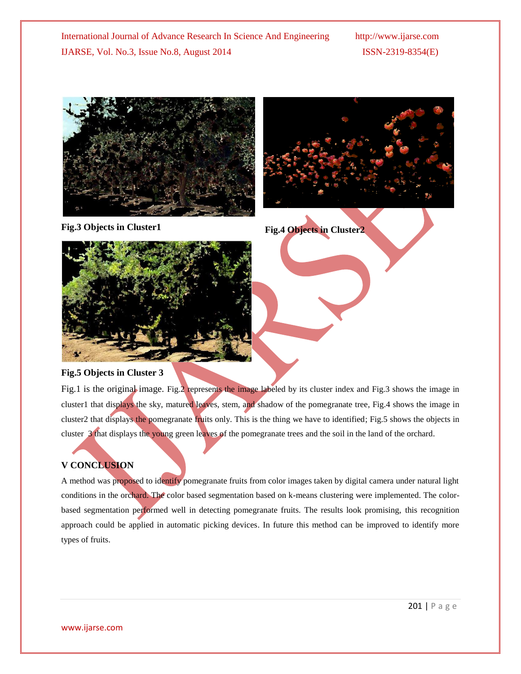



**Fig.3 Objects in Cluster1 Fig.4 Objects in Cluster2**



## **Fig.5 Objects in Cluster 3**

Fig.1 is the original image. Fig.2 represents the image labeled by its cluster index and Fig.3 shows the image in cluster1 that displays the sky, matured leaves, stem, and shadow of the pomegranate tree, Fig.4 shows the image in cluster2 that displays the pomegranate fruits only. This is the thing we have to identified; Fig.5 shows the objects in cluster 3 that displays the young green leaves of the pomegranate trees and the soil in the land of the orchard.

# **V CONCLUSION**

A method was proposed to identify pomegranate fruits from color images taken by digital camera under natural light conditions in the orchard. The color based segmentation based on k-means clustering were implemented. The colorbased segmentation performed well in detecting pomegranate fruits. The results look promising, this recognition approach could be applied in automatic picking devices. In future this method can be improved to identify more types of fruits.